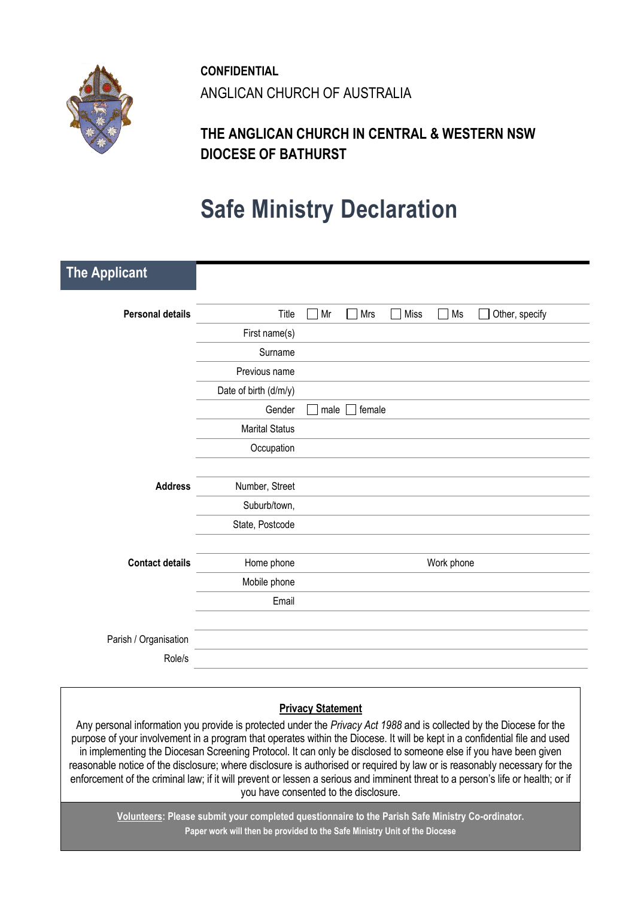

**CONFIDENTIAL** ANGLICAN CHURCH OF AUSTRALIA

## **THE ANGLICAN CHURCH IN CENTRAL & WESTERN NSW DIOCESE OF BATHURST**

# **Safe Ministry Declaration**

| <b>Personal details</b><br>$\sqrt{ }$ Mrs<br>Miss<br>Other, specify<br>Title<br>Mr<br>Ms<br>$\mathbf{L}$<br>$\mathbf{I}$<br>First name(s)<br>Surname<br>Previous name<br>Date of birth (d/m/y)<br>Gender<br>female<br>male<br><b>Marital Status</b><br>Occupation<br><b>Address</b><br>Number, Street<br>Suburb/town,<br>State, Postcode<br><b>Contact details</b><br>Work phone<br>Home phone<br>Mobile phone<br>Email | <b>The Applicant</b>  |  |
|-------------------------------------------------------------------------------------------------------------------------------------------------------------------------------------------------------------------------------------------------------------------------------------------------------------------------------------------------------------------------------------------------------------------------|-----------------------|--|
|                                                                                                                                                                                                                                                                                                                                                                                                                         |                       |  |
|                                                                                                                                                                                                                                                                                                                                                                                                                         |                       |  |
|                                                                                                                                                                                                                                                                                                                                                                                                                         |                       |  |
|                                                                                                                                                                                                                                                                                                                                                                                                                         |                       |  |
|                                                                                                                                                                                                                                                                                                                                                                                                                         |                       |  |
|                                                                                                                                                                                                                                                                                                                                                                                                                         |                       |  |
|                                                                                                                                                                                                                                                                                                                                                                                                                         |                       |  |
|                                                                                                                                                                                                                                                                                                                                                                                                                         |                       |  |
|                                                                                                                                                                                                                                                                                                                                                                                                                         |                       |  |
|                                                                                                                                                                                                                                                                                                                                                                                                                         |                       |  |
|                                                                                                                                                                                                                                                                                                                                                                                                                         |                       |  |
|                                                                                                                                                                                                                                                                                                                                                                                                                         |                       |  |
|                                                                                                                                                                                                                                                                                                                                                                                                                         |                       |  |
|                                                                                                                                                                                                                                                                                                                                                                                                                         |                       |  |
|                                                                                                                                                                                                                                                                                                                                                                                                                         |                       |  |
|                                                                                                                                                                                                                                                                                                                                                                                                                         |                       |  |
|                                                                                                                                                                                                                                                                                                                                                                                                                         |                       |  |
|                                                                                                                                                                                                                                                                                                                                                                                                                         | Parish / Organisation |  |
| Role/s                                                                                                                                                                                                                                                                                                                                                                                                                  |                       |  |

### **Privacy Statement**

Any personal information you provide is protected under the *Privacy Act 1988* and is collected by the Diocese for the purpose of your involvement in a program that operates within the Diocese. It will be kept in a confidential file and used in implementing the Diocesan Screening Protocol. It can only be disclosed to someone else if you have been given reasonable notice of the disclosure; where disclosure is authorised or required by law or is reasonably necessary for the enforcement of the criminal law; if it will prevent or lessen a serious and imminent threat to a person's life or health; or if you have consented to the disclosure.

**Volunteers: Please submit your completed questionnaire to the Parish Safe Ministry Co-ordinator. Paper work will then be provided to the Safe Ministry Unit of the Diocese**